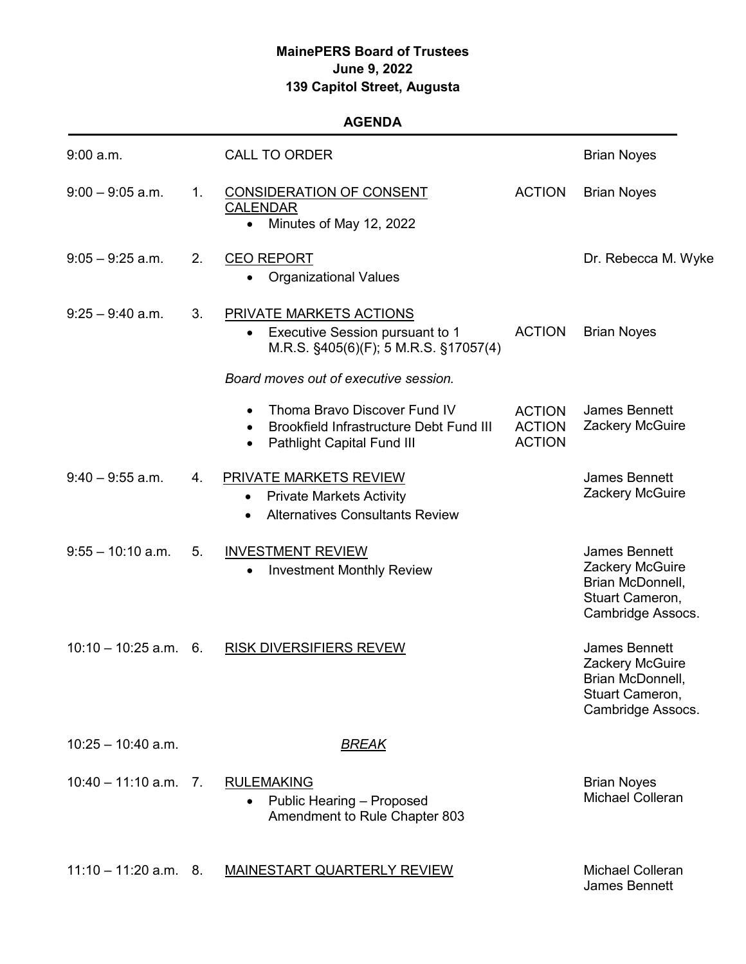## **MainePERS Board of Trustees June 9, 2022 139 Capitol Street, Augusta**

## **AGENDA**

| $9:00$ a.m.             |      | <b>CALL TO ORDER</b>                                                                                                                   |                                                 | <b>Brian Noyes</b>                                                                           |
|-------------------------|------|----------------------------------------------------------------------------------------------------------------------------------------|-------------------------------------------------|----------------------------------------------------------------------------------------------|
| $9:00 - 9:05$ a.m.      | 1.   | <b>CONSIDERATION OF CONSENT</b><br><b>CALENDAR</b><br>Minutes of May 12, 2022<br>$\bullet$                                             | <b>ACTION</b>                                   | <b>Brian Noyes</b>                                                                           |
| $9:05 - 9:25$ a.m.      | 2.   | <b>CEO REPORT</b><br><b>Organizational Values</b><br>$\bullet$                                                                         |                                                 | Dr. Rebecca M. Wyke                                                                          |
| $9:25 - 9:40$ a.m.      | 3.   | PRIVATE MARKETS ACTIONS<br>Executive Session pursuant to 1<br>$\bullet$<br>M.R.S. §405(6)(F); 5 M.R.S. §17057(4)                       | <b>ACTION</b>                                   | <b>Brian Noyes</b>                                                                           |
|                         |      | Board moves out of executive session.                                                                                                  |                                                 |                                                                                              |
|                         |      | Thoma Bravo Discover Fund IV<br><b>Brookfield Infrastructure Debt Fund III</b><br>$\bullet$<br>Pathlight Capital Fund III<br>$\bullet$ | <b>ACTION</b><br><b>ACTION</b><br><b>ACTION</b> | <b>James Bennett</b><br>Zackery McGuire                                                      |
| $9:40 - 9:55$ a.m.      | 4.   | <b>PRIVATE MARKETS REVIEW</b><br><b>Private Markets Activity</b><br>$\bullet$<br><b>Alternatives Consultants Review</b><br>$\bullet$   |                                                 | <b>James Bennett</b><br>Zackery McGuire                                                      |
| $9:55 - 10:10$ a.m.     | 5.   | <b>INVESTMENT REVIEW</b><br><b>Investment Monthly Review</b>                                                                           |                                                 | James Bennett<br>Zackery McGuire<br>Brian McDonnell,<br>Stuart Cameron,<br>Cambridge Assocs. |
| $10:10 - 10:25$ a.m.    | - 6. | <b>RISK DIVERSIFIERS REVEW</b>                                                                                                         |                                                 | James Bennett<br>Zackery McGuire<br>Brian McDonnell,<br>Stuart Cameron,<br>Cambridge Assocs. |
| $10:25 - 10:40$ a.m.    |      | <u>BREAK</u>                                                                                                                           |                                                 |                                                                                              |
| $10:40 - 11:10$ a.m. 7. |      | <b>RULEMAKING</b><br>Public Hearing - Proposed<br>$\bullet$<br>Amendment to Rule Chapter 803                                           |                                                 | <b>Brian Noyes</b><br><b>Michael Colleran</b>                                                |
| $11:10 - 11:20$ a.m. 8. |      | <b>MAINESTART QUARTERLY REVIEW</b>                                                                                                     |                                                 | <b>Michael Colleran</b><br><b>James Bennett</b>                                              |